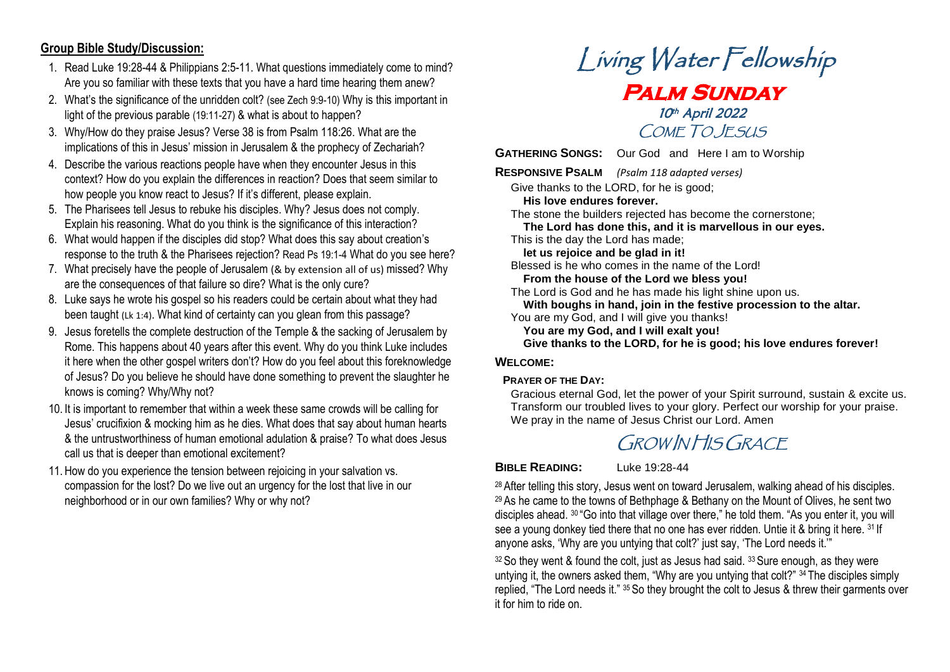#### **Group Bible Study/Discussion:**

- 1. Read Luke 19:28-44 & Philippians 2:5-11. What questions immediately come to mind? Are you so familiar with these texts that you have a hard time hearing them anew?
- 2. What's the significance of the unridden colt? (see Zech 9:9-10) Why is this important in light of the previous parable (19:11-27) & what is about to happen?
- 3. Why/How do they praise Jesus? Verse 38 is from Psalm 118:26. What are the implications of this in Jesus' mission in Jerusalem & the prophecy of Zechariah?
- 4. Describe the various reactions people have when they encounter Jesus in this context? How do you explain the differences in reaction? Does that seem similar to how people you know react to Jesus? If it's different, please explain.
- 5. The Pharisees tell Jesus to rebuke his disciples. Why? Jesus does not comply. Explain his reasoning. What do you think is the significance of this interaction?
- 6. What would happen if the disciples did stop? What does this say about creation's response to the truth & the Pharisees rejection? Read Ps 19:1-4 What do you see here?
- 7. What precisely have the people of Jerusalem (& by extension all of us) missed? Why are the consequences of that failure so dire? What is the only cure?
- 8. Luke says he wrote his gospel so his readers could be certain about what they had been taught (Lk 1:4). What kind of certainty can you glean from this passage?
- 9. Jesus foretells the complete destruction of the Temple & the sacking of Jerusalem by Rome. This happens about 40 years after this event. Why do you think Luke includes it here when the other gospel writers don't? How do you feel about this foreknowledge of Jesus? Do you believe he should have done something to prevent the slaughter he knows is coming? Why/Why not?
- 10. It is important to remember that within a week these same crowds will be calling for Jesus' crucifixion & mocking him as he dies. What does that say about human hearts & the untrustworthiness of human emotional adulation & praise? To what does Jesus call us that is deeper than emotional excitement?
- 11. How do you experience the tension between rejoicing in your salvation vs. compassion for the lost? Do we live out an urgency for the lost that live in our neighborhood or in our own families? Why or why not?

# Living Water Fellowship **Palm Sunday**  10th April 2022 COME TO JESUS

**GATHERING SONGS:** Our God and Here I am to Worship

**RESPONSIVE PSALM** *(Psalm 118 adapted verses)*

Give thanks to the LORD, for he is good;

 **His love endures forever.**

The stone the builders rejected has become the cornerstone;  **The Lord has done this, and it is marvellous in our eyes.**  This is the day the Lord has made;

 **let us rejoice and be glad in it!**

Blessed is he who comes in the name of the Lord!

 **From the house of the Lord we bless you!**

The Lord is God and he has made his light shine upon us.  **With boughs in hand, join in the festive procession to the altar.** 

- You are my God, and I will give you thanks!
	- **You are my God, and I will exalt you!**

 **Give thanks to the LORD, for he is good; his love endures forever!**

#### **WELCOME:**

#### **PRAYER OF THE DAY:**

Gracious eternal God, let the power of your Spirit surround, sustain & excite us. Transform our troubled lives to your glory. Perfect our worship for your praise. We pray in the name of Jesus Christ our Lord. Amen

# GROW IN HIS GRACE

**BIBLE READING:** Luke 19:28-44

<sup>28</sup> After telling this story, Jesus went on toward Jerusalem, walking ahead of his disciples. <sup>29</sup> As he came to the towns of Bethphage & Bethany on the Mount of Olives, he sent two disciples ahead. <sup>30</sup> "Go into that village over there," he told them. "As you enter it, you will see a young donkey tied there that no one has ever ridden. Untie it & bring it here. 31 If anyone asks, 'Why are you untying that colt?' just say, 'The Lord needs it.'"

 $32$  So they went & found the colt, just as Jesus had said,  $33$  Sure enough, as they were untying it, the owners asked them, "Why are you untying that colt?" <sup>34</sup> The disciples simply replied, "The Lord needs it." <sup>35</sup> So they brought the colt to Jesus & threw their garments over it for him to ride on.